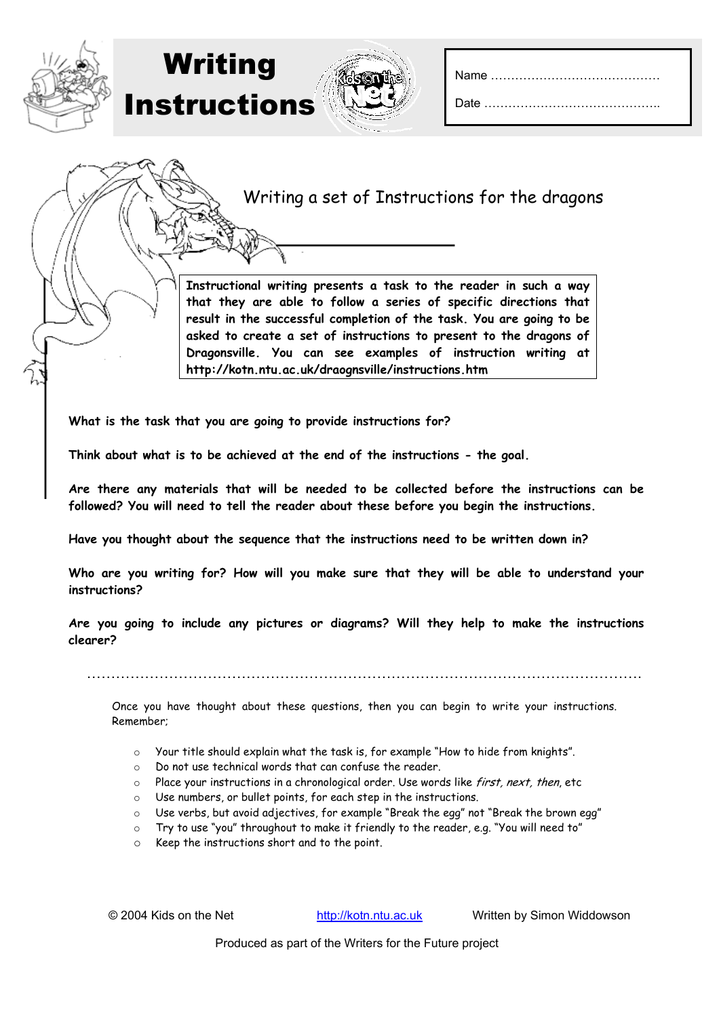## Writing a set of Instructions for the dragons

**Instructional writing presents a task to the reader in such a way that they are able to follow a series of specific directions that result in the successful completion of the task. You are going to be asked to create a set of instructions to present to the dragons of Dragonsville. You can see examples of instruction writing at http://kotn.ntu.ac.uk/draognsville/instructions.htm** 

**What is the task that you are going to provide instructions for?** 

Writing

Instructions

**Think about what is to be achieved at the end of the instructions - the goal.** 

**Are there any materials that will be needed to be collected before the instructions can be followed? You will need to tell the reader about these before you begin the instructions.** 

**Have you thought about the sequence that the instructions need to be written down in?**

**Who are you writing for? How will you make sure that they will be able to understand your instructions?** 

**Are you going to include any pictures or diagrams? Will they help to make the instructions clearer?** 

…………………………………………………………………………………………………….

Once you have thought about these questions, then you can begin to write your instructions. Remember;

- $\circ$  Your title should explain what the task is, for example "How to hide from knights".
- o Do not use technical words that can confuse the reader.
- $\circ$  Place your instructions in a chronological order. Use words like *first, next, then*, etc
- o Use numbers, or bullet points, for each step in the instructions.
- o Use verbs, but avoid adjectives, for example "Break the egg" not "Break the brown egg"
- o Try to use "you" throughout to make it friendly to the reader, e.g. "You will need to"
- o Keep the instructions short and to the point.

© 2004 Kids on the Net http://kotn.ntu.ac.uk Written by Simon Widdowson

Produced as part of the Writers for the Future project